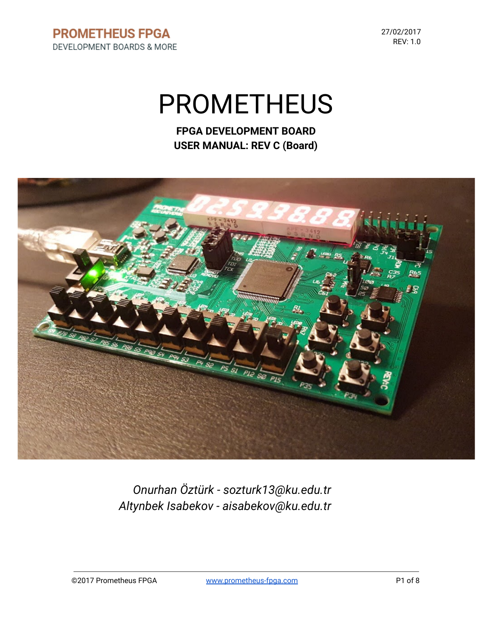27/02/2017 REV: 1.0

# PROMETHEUS

**FPGA DEVELOPMENT BOARD USER MANUAL: REV C (Board)**



*Onurhan Öztürk - sozturk13@ku.edu.tr Altynbek Isabekov - aisabekov@ku.edu.tr*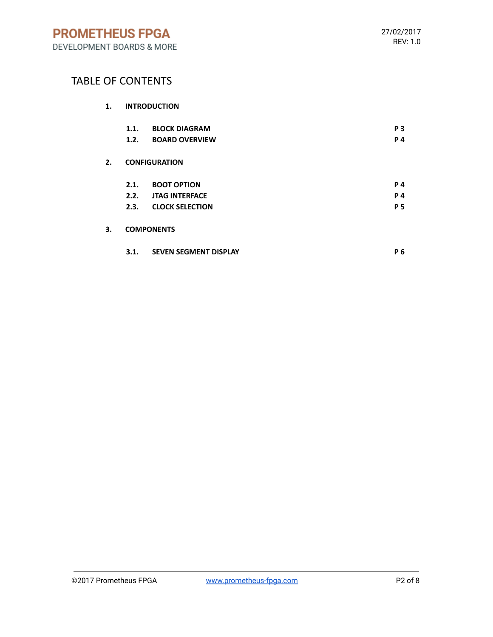# TABLE OF CONTENTS

|    | 1.1.<br>1.2.         | <b>BLOCK DIAGRAM</b><br><b>BOARD OVERVIEW</b> | P <sub>3</sub><br>P 4 |  |
|----|----------------------|-----------------------------------------------|-----------------------|--|
| 2. | <b>CONFIGURATION</b> |                                               |                       |  |
|    | 2.1.                 | <b>BOOT OPTION</b>                            | <b>P4</b>             |  |
|    | 2.2.                 | <b>JTAG INTERFACE</b>                         | <b>P4</b>             |  |
|    | 2.3.                 | <b>CLOCK SELECTION</b>                        | <b>P5</b>             |  |
| 3. | <b>COMPONENTS</b>    |                                               |                       |  |
|    | 3.1.                 | <b>SEVEN SEGMENT DISPLAY</b>                  | P 6                   |  |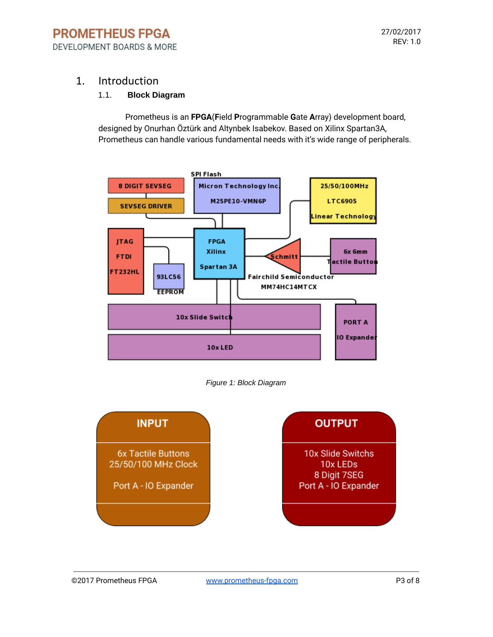#### 1. Introduction

#### 1.1. **Block Diagram**

Prometheus is an **FPGA**(**F**ield **P**rogrammable **G**ate **A**rray) development board, designed by Onurhan Öztürk and Altynbek Isabekov. Based on Xilinx Spartan3A, Prometheus can handle various fundamental needs with it's wide range of peripherals.



*Figure 1: Block Diagram*

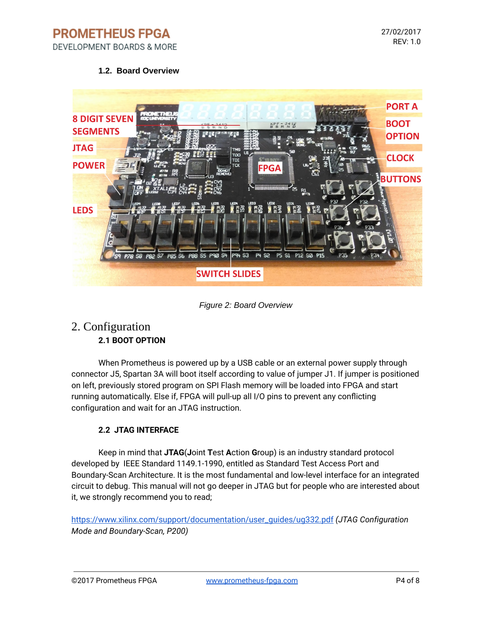**PROMETHEUS FPGA** DEVELOPMENT BOARDS & MORE

#### **1.2. Board Overview**



*Figure 2: Board Overview*

### 2. Configuration **2.1 BOOT OPTION**

When Prometheus is powered up by a USB cable or an external power supply through connector J5, Spartan 3A will boot itself according to value of jumper J1. If jumper is positioned on left, previously stored program on SPI Flash memory will be loaded into FPGA and start running automatically. Else if, FPGA will pull-up all I/O pins to prevent any conflicting configuration and wait for an JTAG instruction.

#### **2.2 JTAG INTERFACE**

Keep in mind that **JTAG**(**J**oint **T**est **A**ction **G**roup) is an industry standard protocol developed by IEEE Standard 1149.1-1990, entitled as Standard Test Access Port and Boundary-Scan Architecture. It is the most fundamental and low-level interface for an integrated circuit to debug. This manual will not go deeper in JTAG but for people who are interested about it, we strongly recommend you to read;

[https://www.xilinx.com/support/documentation/user\\_guides/ug332.pdf](https://www.xilinx.com/support/documentation/user_guides/ug332.pdf) *(JTAG Configuration Mode and Boundary-Scan, P200)*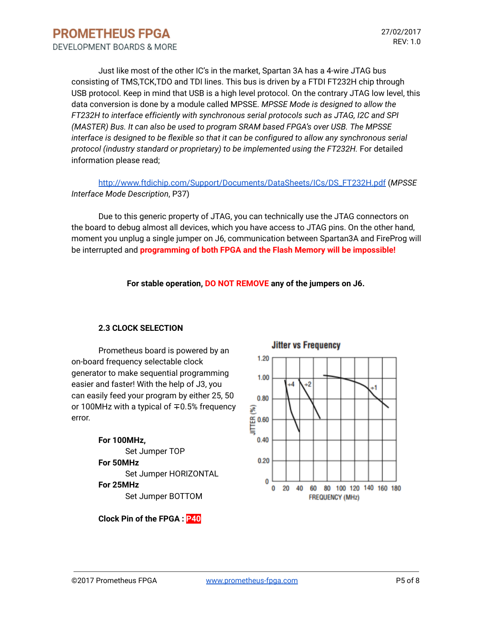Just like most of the other IC's in the market, Spartan 3A has a 4-wire JTAG bus consisting of TMS,TCK,TDO and TDI lines. This bus is driven by a FTDI FT232H chip through USB protocol. Keep in mind that USB is a high level protocol. On the contrary JTAG low level, this data conversion is done by a module called MPSSE. *MPSSE Mode is designed to allow the FT232H to interface efficiently with synchronous serial protocols such as JTAG, I2C and SPI (MASTER) Bus. It can also be used to program SRAM based FPGA's over USB. The MPSSE interface is designed to be flexible so that it can be configured to allow any synchronous serial protocol (industry standard or proprietary) to be implemented using the FT232H.* For detailed information please read;

[http://www.ftdichip.com/Support/Documents/DataSheets/ICs/DS\\_FT232H.pdf](http://www.ftdichip.com/Support/Documents/DataSheets/ICs/DS_FT232H.pdf) (*MPSSE Interface Mode Description*, P37)

Due to this generic property of JTAG, you can technically use the JTAG connectors on the board to debug almost all devices, which you have access to JTAG pins. On the other hand, moment you unplug a single jumper on J6, communication between Spartan3A and FireProg will be interrupted and **programming of both FPGA and the Flash Memory will be impossible!**

**For stable operation, DO NOT REMOVE any of the jumpers on J6.**

#### **2.3 CLOCK SELECTION**

Prometheus board is powered by an on-board frequency selectable clock generator to make sequential programming easier and faster! With the help of J3, you can easily feed your program by either 25, 50 or 100MHz with a typical of ∓0.5% frequency error.

> **For 100MHz,** Set Jumper TOP **For 50MHz** Set Jumper HORIZONTAL **For 25MHz** Set Jumper BOTTOM

**Jitter vs Frequency** 1.20 1.00  $\frac{4}{3}$  $\frac{1}{2}$ 4  $0.80$ € iffe<br>写<br>5  $0.40$  $0.20$ 0  $0$  20 40 60 80 100 120 140 160 180 **FREQUENCY (MHz)** 

**Clock Pin of the FPGA : P40**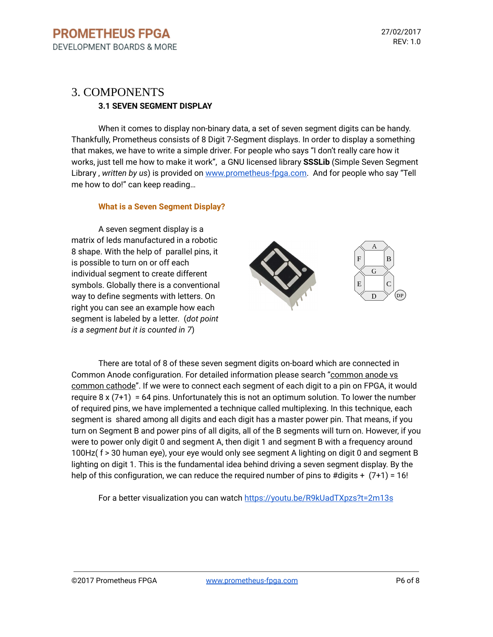## 3. COMPONENTS **3.1 SEVEN SEGMENT DISPLAY**

When it comes to display non-binary data, a set of seven segment digits can be handy. Thankfully, Prometheus consists of 8 Digit 7-Segment displays. In order to display a something that makes, we have to write a simple driver. For people who says "I don't really care how it works, just tell me how to make it work", a GNU licensed library **SSSLib** (Simple Seven Segment Library , *written by us*) is provided on [www.prometheus-fpga.com](http://www.prometheus-fpga.com/). And for people who say "Tell me how to do!" can keep reading…

#### **What is a Seven Segment Display?**

A seven segment display is a matrix of leds manufactured in a robotic 8 shape. With the help of parallel pins, it is possible to turn on or off each individual segment to create different symbols. Globally there is a conventional way to define segments with letters. On right you can see an example how each segment is labeled by a letter. (*dot point is a segment but it is counted in 7*)



There are total of 8 of these seven segment digits on-board which are connected in Common Anode configuration. For detailed information please search "common anode vs common cathode". If we were to connect each segment of each digit to a pin on FPGA, it would require  $8 \times (7+1) = 64$  pins. Unfortunately this is not an optimum solution. To lower the number of required pins, we have implemented a technique called multiplexing. In this technique, each segment is shared among all digits and each digit has a master power pin. That means, if you turn on Segment B and power pins of all digits, all of the B segments will turn on. However, if you were to power only digit 0 and segment A, then digit 1 and segment B with a frequency around 100Hz( f > 30 human eye), your eye would only see segment A lighting on digit 0 and segment B lighting on digit 1. This is the fundamental idea behind driving a seven segment display. By the help of this configuration, we can reduce the required number of pins to  $\#$ digits +  $(7+1) = 16!$ 

For a better visualization you can watch <https://youtu.be/R9kUadTXpzs?t=2m13s>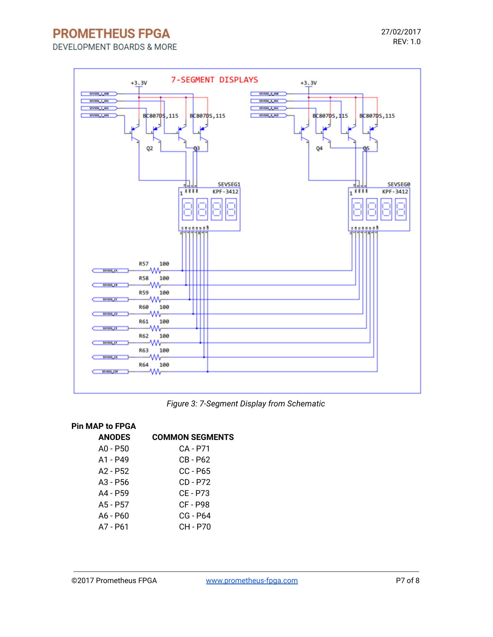**PROMETHEUS FPGA** 

DEVELOPMENT BOARDS & MORE



*Figure 3: 7-Segment Display from Schematic*

#### **Pin MAP to FPGA**

| <b>ANODES</b> | <b>COMMON SEGMENTS</b> |
|---------------|------------------------|
| $AD - P50$    | CA - P71               |
| $A1 - P49$    | CB - P62               |
| $A2 - P52$    | $CC - P65$             |
| $A3 - P56$    | CD - P72               |
| A4 - P59      | CE - P73               |
| $A5 - P57$    | CF - P98               |
| $A6 - P60$    | CG - P64               |
| A7 - P61      | CH - P70               |
|               |                        |